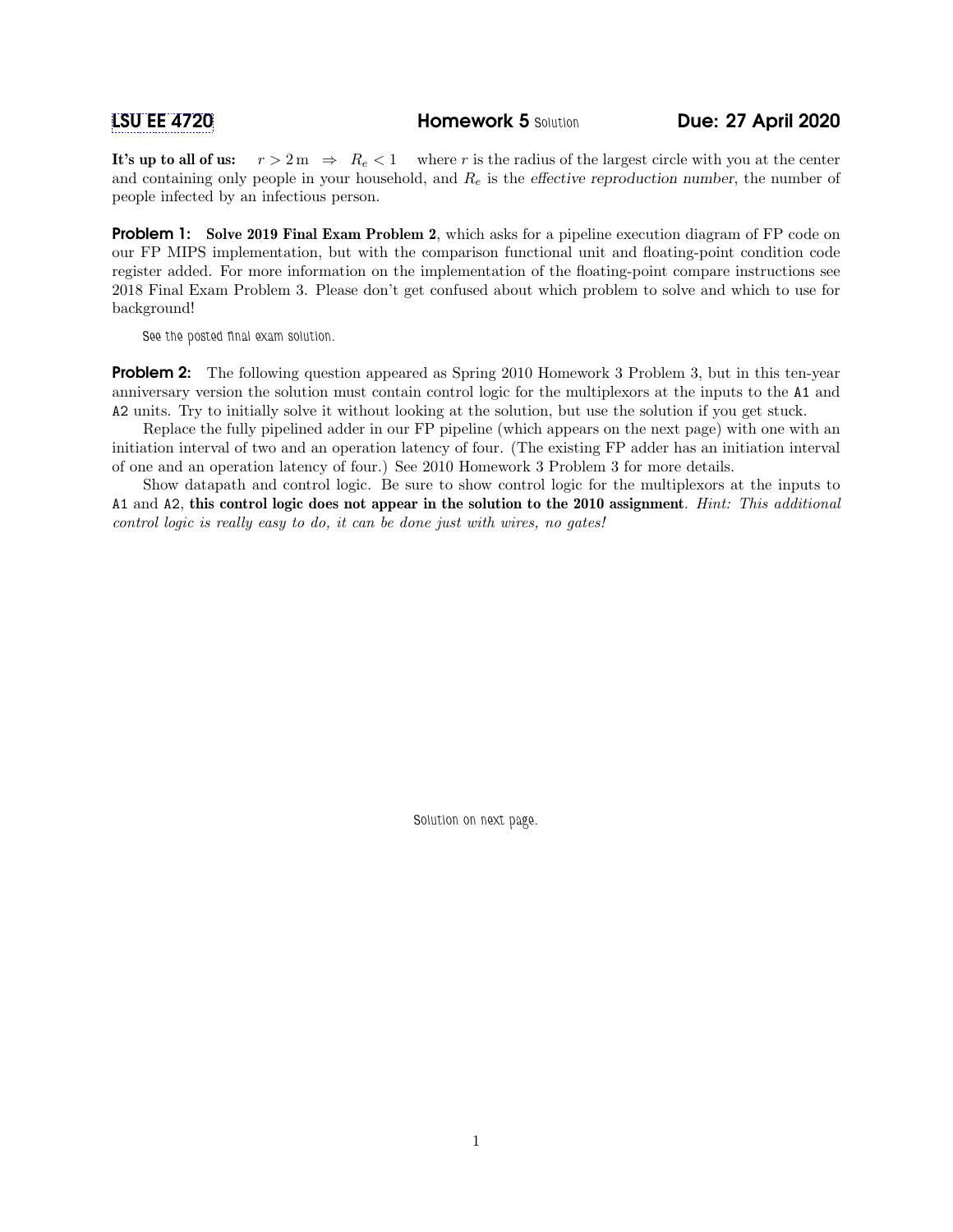It's up to all of us:  $r > 2m \Rightarrow R_e < 1$  where r is the radius of the largest circle with you at the center and containing only people in your household, and  $R_e$  is the effective reproduction number, the number of people infected by an infectious person.

**Problem 1:** Solve 2019 Final Exam Problem 2, which asks for a pipeline execution diagram of FP code on our FP MIPS implementation, but with the comparison functional unit and floating-point condition code register added. For more information on the implementation of the floating-point compare instructions see 2018 Final Exam Problem 3. Please don't get confused about which problem to solve and which to use for background!

See the posted final exam solution.

**Problem 2:** The following question appeared as Spring 2010 Homework 3 Problem 3, but in this ten-year anniversary version the solution must contain control logic for the multiplexors at the inputs to the A1 and A2 units. Try to initially solve it without looking at the solution, but use the solution if you get stuck.

Replace the fully pipelined adder in our FP pipeline (which appears on the next page) with one with an initiation interval of two and an operation latency of four. (The existing FP adder has an initiation interval of one and an operation latency of four.) See 2010 Homework 3 Problem 3 for more details.

Show datapath and control logic. Be sure to show control logic for the multiplexors at the inputs to A1 and A2, this control logic does not appear in the solution to the 2010 assignment. Hint: This additional control logic is really easy to do, it can be done just with wires, no gates!

Solution on next page.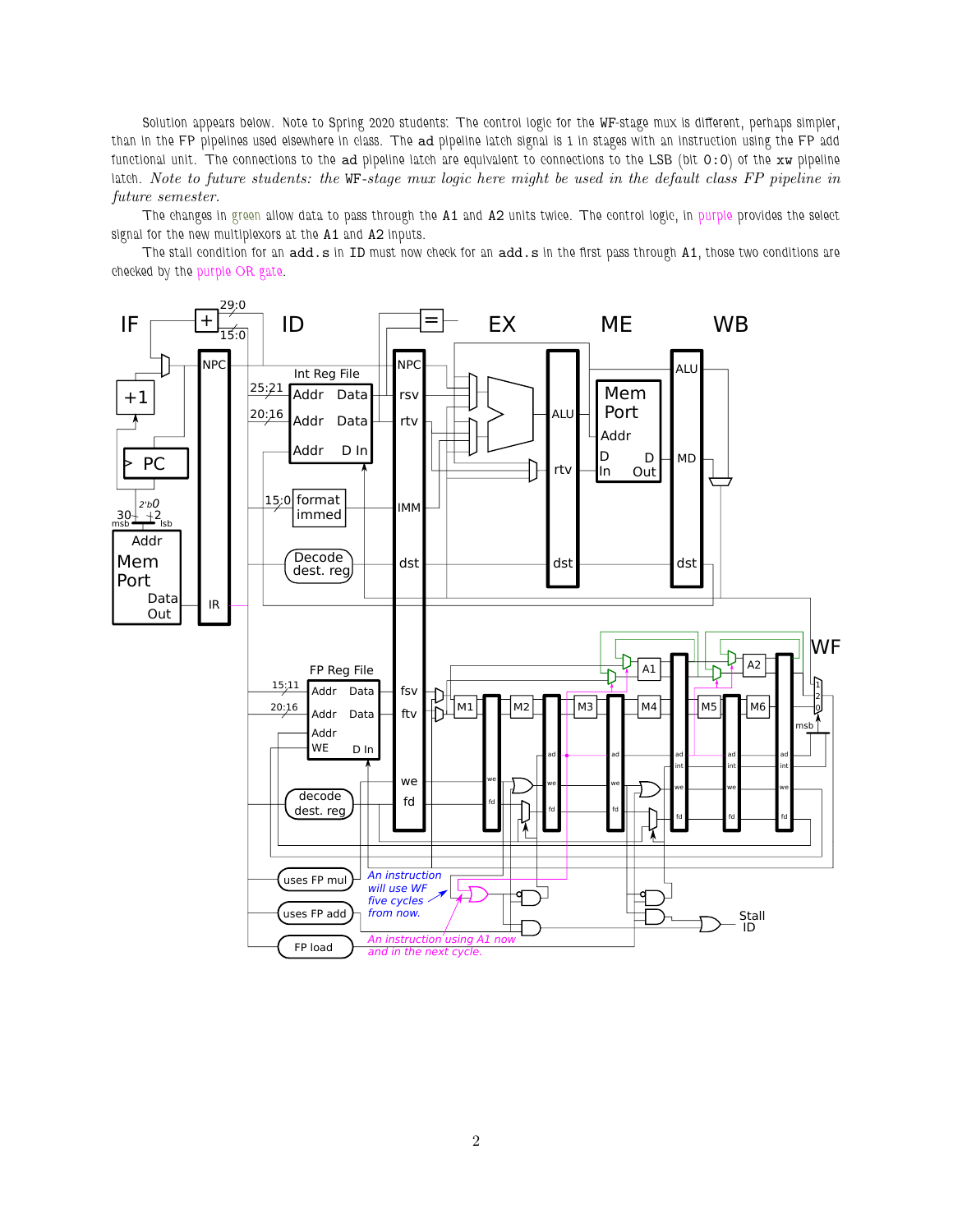Solution appears below. Note to Spring 2020 students: The control logic for the WF-stage mux is different, perhaps simpler, than in the FP pipelines used elsewhere in class. The ad pipeline latch signal is 1 in stages with an instruction using the FP add functional unit. The connections to the ad pipeline latch are equivalent to connections to the LSB (bit  $0:0$ ) of the xw pipeline latch. Note to future students: the WF-stage mux logic here might be used in the default class FP pipeline in future semester.

The changes in green allow data to pass through the A1 and A2 units twice. The control logic, in purple provides the select signal for the new multiplexors at the A1 and A2 inputs.

The stall condition for an add.s in ID must now check for an add.s in the first pass through A1, those two conditions are checked by the purple OR gate.